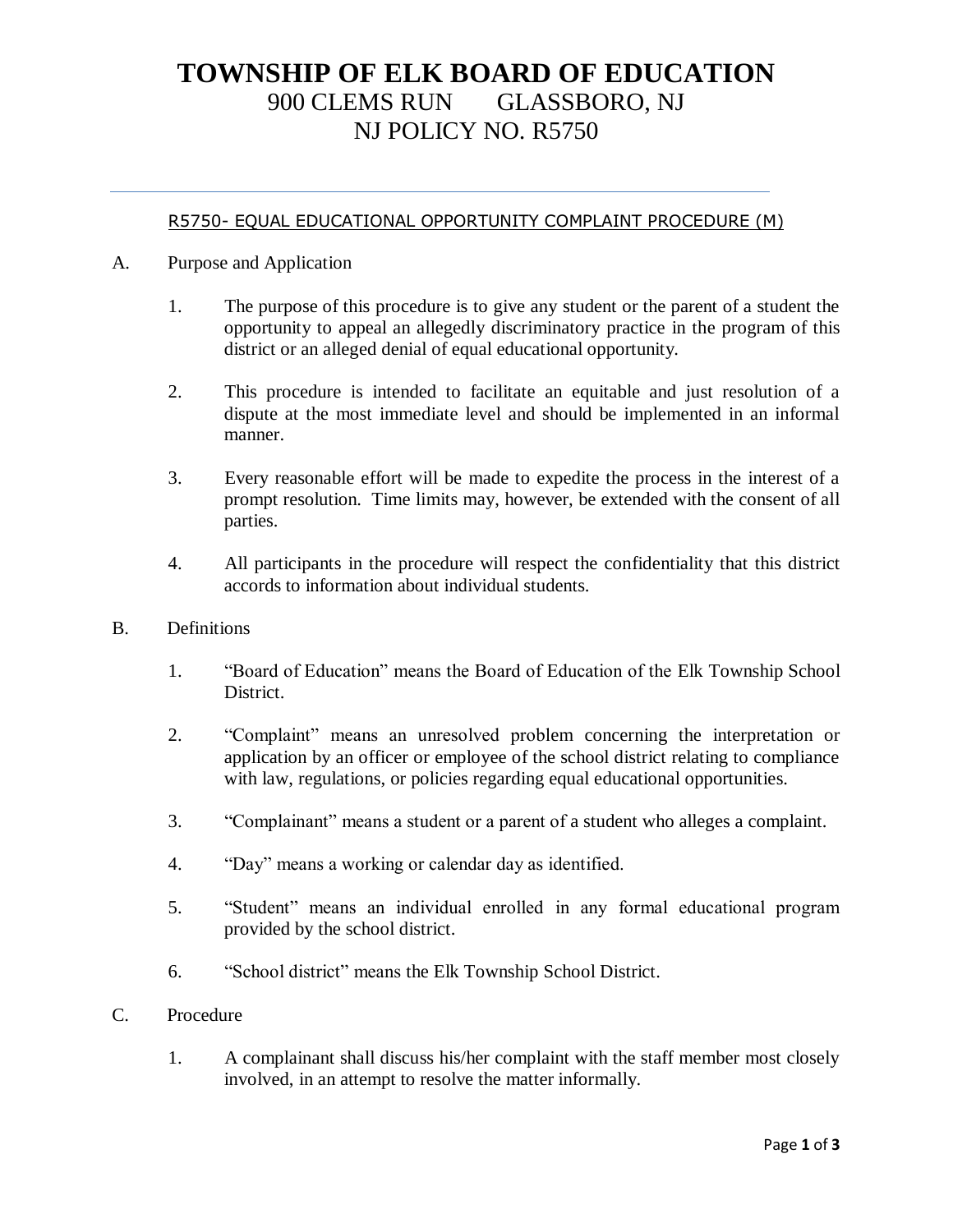# **TOWNSHIP OF ELK BOARD OF EDUCATION** 900 CLEMS RUN GLASSBORO, NJ NJ POLICY NO. R5750

#### R5750- EQUAL EDUCATIONAL OPPORTUNITY COMPLAINT PROCEDURE (M)

- A. Purpose and Application
	- 1. The purpose of this procedure is to give any student or the parent of a student the opportunity to appeal an allegedly discriminatory practice in the program of this district or an alleged denial of equal educational opportunity.
	- 2. This procedure is intended to facilitate an equitable and just resolution of a dispute at the most immediate level and should be implemented in an informal manner.
	- 3. Every reasonable effort will be made to expedite the process in the interest of a prompt resolution. Time limits may, however, be extended with the consent of all parties.
	- 4. All participants in the procedure will respect the confidentiality that this district accords to information about individual students.
- B. Definitions
	- 1. "Board of Education" means the Board of Education of the Elk Township School District.
	- 2. "Complaint" means an unresolved problem concerning the interpretation or application by an officer or employee of the school district relating to compliance with law, regulations, or policies regarding equal educational opportunities.
	- 3. "Complainant" means a student or a parent of a student who alleges a complaint.
	- 4. "Day" means a working or calendar day as identified.
	- 5. "Student" means an individual enrolled in any formal educational program provided by the school district.
	- 6. "School district" means the Elk Township School District.
- C. Procedure
	- 1. A complainant shall discuss his/her complaint with the staff member most closely involved, in an attempt to resolve the matter informally.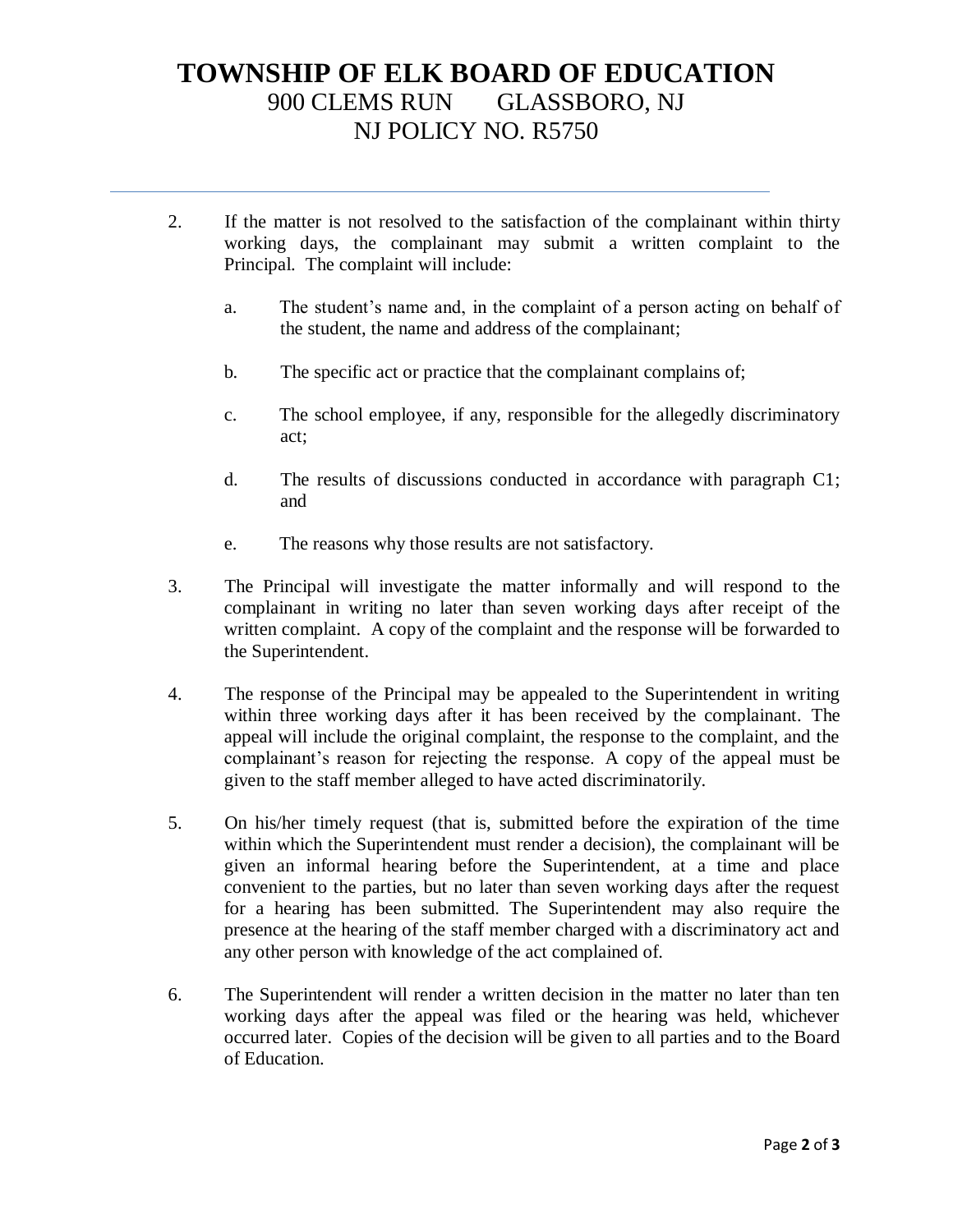# **TOWNSHIP OF ELK BOARD OF EDUCATION** 900 CLEMS RUN GLASSBORO, NJ NJ POLICY NO. R5750

- 2. If the matter is not resolved to the satisfaction of the complainant within thirty working days, the complainant may submit a written complaint to the Principal. The complaint will include:
	- a. The student's name and, in the complaint of a person acting on behalf of the student, the name and address of the complainant;
	- b. The specific act or practice that the complainant complains of;
	- c. The school employee, if any, responsible for the allegedly discriminatory act;
	- d. The results of discussions conducted in accordance with paragraph C1; and
	- e. The reasons why those results are not satisfactory.
- 3. The Principal will investigate the matter informally and will respond to the complainant in writing no later than seven working days after receipt of the written complaint. A copy of the complaint and the response will be forwarded to the Superintendent.
- 4. The response of the Principal may be appealed to the Superintendent in writing within three working days after it has been received by the complainant. The appeal will include the original complaint, the response to the complaint, and the complainant's reason for rejecting the response. A copy of the appeal must be given to the staff member alleged to have acted discriminatorily.
- 5. On his/her timely request (that is, submitted before the expiration of the time within which the Superintendent must render a decision), the complainant will be given an informal hearing before the Superintendent, at a time and place convenient to the parties, but no later than seven working days after the request for a hearing has been submitted. The Superintendent may also require the presence at the hearing of the staff member charged with a discriminatory act and any other person with knowledge of the act complained of.
- 6. The Superintendent will render a written decision in the matter no later than ten working days after the appeal was filed or the hearing was held, whichever occurred later. Copies of the decision will be given to all parties and to the Board of Education.